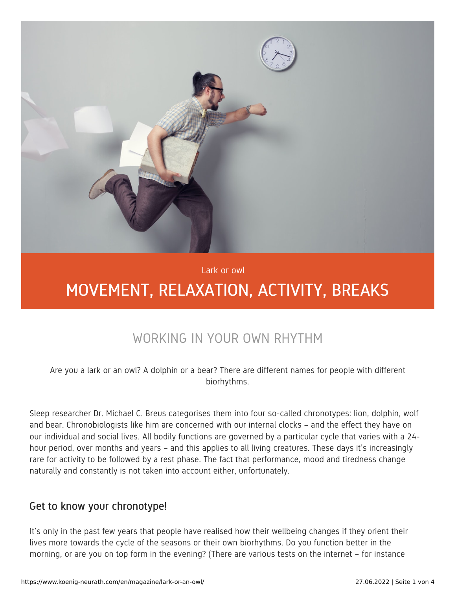

Lark or owl

# MOVEMENT, RELAXATION, ACTIVITY, BREAKS

## WORKING IN YOUR OWN RHYTHM

Are you a lark or an owl? A dolphin or a bear? There are different names for people with different biorhythms.

Sleep researcher Dr. Michael C. Breus categorises them into four so-called chronotypes: lion, dolphin, wolf and bear. Chronobiologists like him are concerned with our internal clocks – and the effect they have on our individual and social lives. All bodily functions are governed by a particular cycle that varies with a 24 hour period, over months and years – and this applies to all living creatures. These days it's increasingly rare for activity to be followed by a rest phase. The fact that performance, mood and tiredness change naturally and constantly is not taken into account either, unfortunately.

#### Get to know your chronotype!

It's only in the past few years that people have realised how their wellbeing changes if they orient their lives more towards the cycle of the seasons or their own biorhythms. Do you function better in the morning, or are you on top form in the evening? (There are various tests on the internet – for instance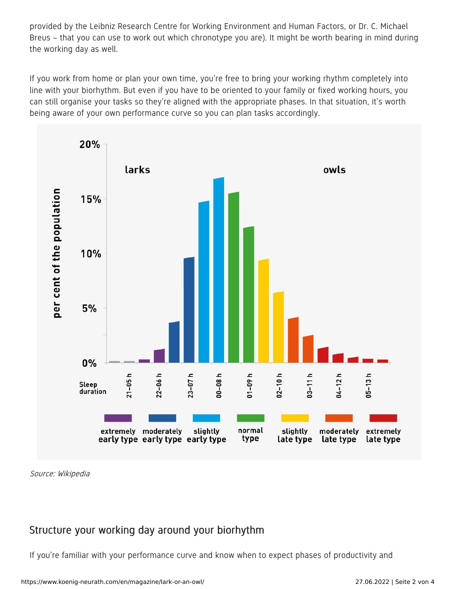provided by the Leibniz Research Centre for Working Environment and Human Factors, or Dr. C. Michael Breus – that you can use to work out which chronotype you are). It might be worth bearing in mind during the working day as well.

If you work from home or plan your own time, you're free to bring your working rhythm completely into line with your biorhythm. But even if you have to be oriented to your family or fixed working hours, you can still organise your tasks so they're aligned with the appropriate phases. In that situation, it's worth being aware of your own performance curve so you can plan tasks accordingly.



Source: Wikipedia

### Structure your working day around your biorhythm

If you're familiar with your performance curve and know when to expect phases of productivity and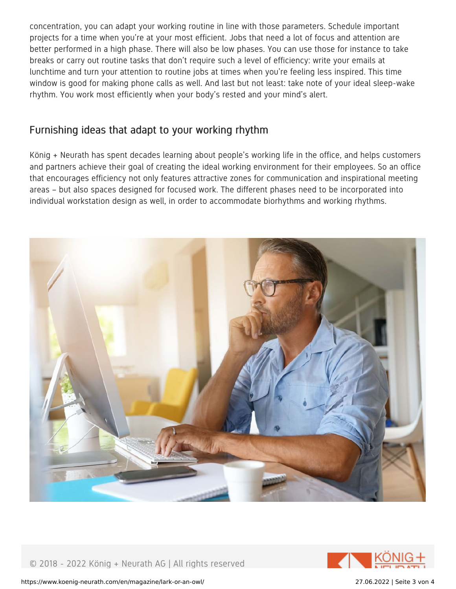concentration, you can adapt your working routine in line with those parameters. Schedule important projects for a time when you're at your most efficient. Jobs that need a lot of focus and attention are better performed in a high phase. There will also be low phases. You can use those for instance to take breaks or carry out routine tasks that don't require such a level of efficiency: write your emails at lunchtime and turn your attention to routine jobs at times when you're feeling less inspired. This time window is good for making phone calls as well. And last but not least: take note of your ideal sleep-wake rhythm. You work most efficiently when your body's rested and your mind's alert.

#### Furnishing ideas that adapt to your working rhythm

König + Neurath has spent decades learning about people's working life in the office, and helps customers and partners achieve their goal of creating the ideal working environment for their employees. So an office that encourages efficiency not only features attractive zones for communication and inspirational meeting areas – but also spaces designed for focused work. The different phases need to be incorporated into individual workstation design as well, in order to accommodate biorhythms and working rhythms.



© 2018 - 2022 König + Neurath AG | All rights reserved



https://www.koenig-neurath.com/en/magazine/lark-or-an-owl/ 27.06.2022 | Seite 3 von 4